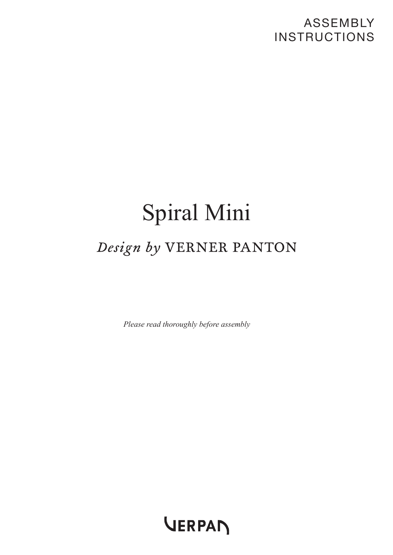### ASSEMBLY INSTRUCTIONS

# Spiral Mini Design by VERNER PANTON

*Please read thoroughly before assembly*

VERPAN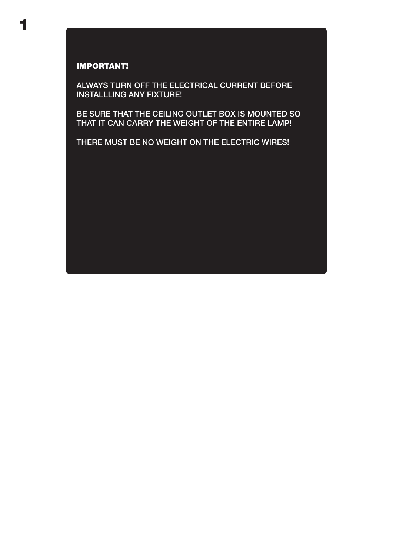## 1

#### IMPORTANT!

ALWAYS TURN OFF THE ELECTRICAL CURRENT BEFORE INSTALLLING ANY FIXTURE!

BE SURE THAT THE CEILING OUTLET BOX IS MOUNTED SO THAT IT CAN CARRY THE WEIGHT OF THE ENTIRE LAMP!

THERE MUST BE NO WEIGHT ON THE ELECTRIC WIRES!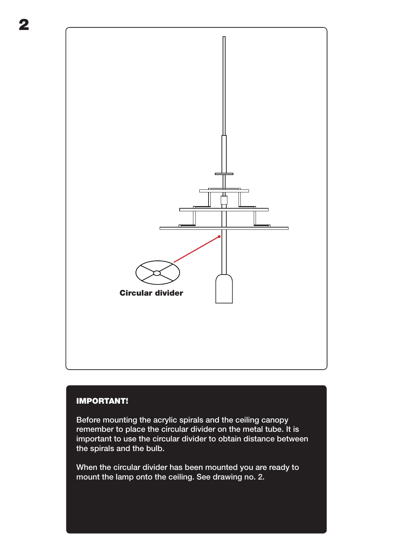

#### IMPORTANT!

Before mounting the acrylic spirals and the ceiling canopy remember to place the circular divider on the metal tube. It is important to use the circular divider to obtain distance between the spirals and the bulb.

When the circular divider has been mounted you are ready to mount the lamp onto the ceiling. See drawing no. 2.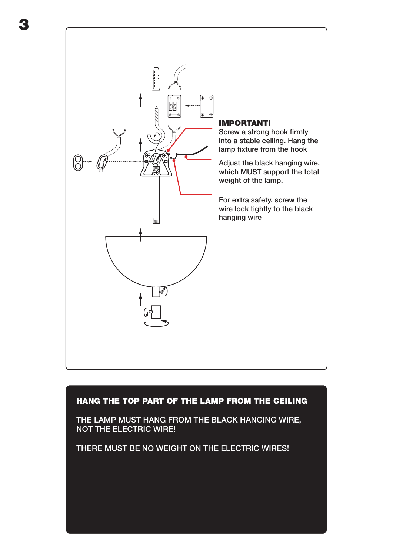

3

#### HANG THE TOP PART OF THE LAMP FROM THE CEILING

THE LAMP MUST HANG FROM THE BLACK HANGING WIRE, NOT THE ELECTRIC WIRE!

THERE MUST BE NO WEIGHT ON THE ELECTRIC WIRES!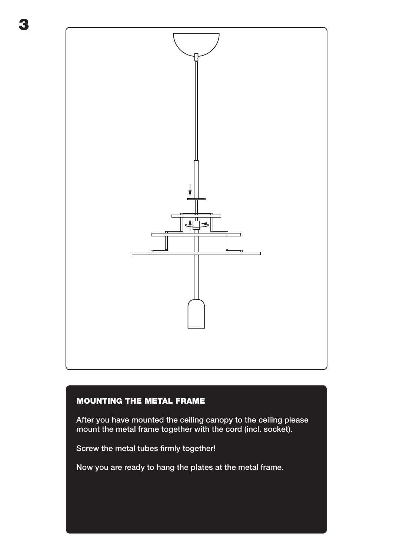

#### MOUNTING THE METAL FRAME

After you have mounted the ceiling canopy to the ceiling please mount the metal frame together with the cord (incl. socket).

Screw the metal tubes firmly together!

Now you are ready to hang the plates at the metal frame.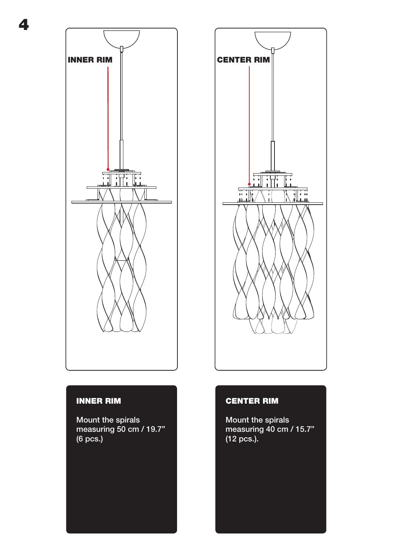

4

#### INNER RIM

Mount the spirals measuring 50 cm / 19.7" (6 pcs.)



#### CENTER RIM

Mount the spirals measuring 40 cm / 15.7" (12 pcs.).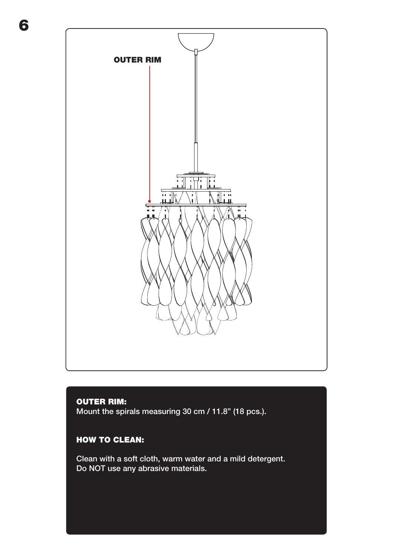OUTER RIM $\overline{\mathbf{H}}$  $\frac{1}{10}$  $\overline{\mathbb{L}}$  $\frac{1}{1}$ 

#### OUTER RIM:

6

Mount the spirals measuring 30 cm / 11.8" (18 pcs.).

#### HOW TO CLEAN:

Clean with a soft cloth, warm water and a mild detergent. Do NOT use any abrasive materials.